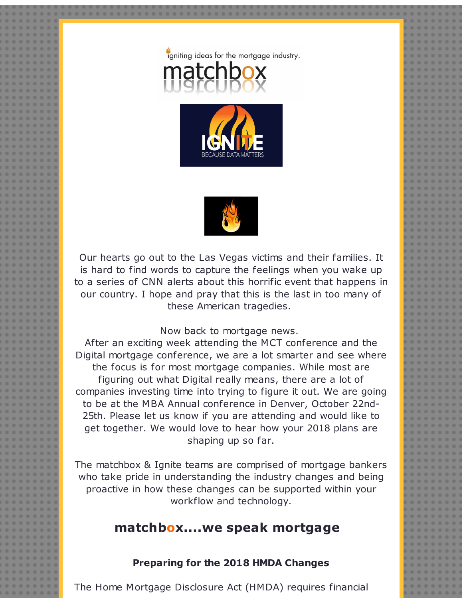





Our hearts go out to the Las Vegas victims and their families. It is hard to find words to capture the feelings when you wake up to a series of CNN alerts about this horrific event that happens in our country. I hope and pray that this is the last in too many of these American tragedies.

#### Now back to mortgage news.

After an exciting week attending the MCT conference and the Digital mortgage conference, we are a lot smarter and see where the focus is for most mortgage companies. While most are figuring out what Digital really means, there are a lot of companies investing time into trying to figure it out. We are going to be at the MBA Annual conference in Denver, October 22nd-25th. Please let us know if you are attending and would like to get together. We would love to hear how your 2018 plans are shaping up so far.

The matchbox & Ignite teams are comprised of mortgage bankers who take pride in understanding the industry changes and being proactive in how these changes can be supported within your workflow and technology.

# **matchbox....we speak mortgage**

#### **Preparing for the 2018 HMDA Changes**

The Home Mortgage Disclosure Act (HMDA) requires financial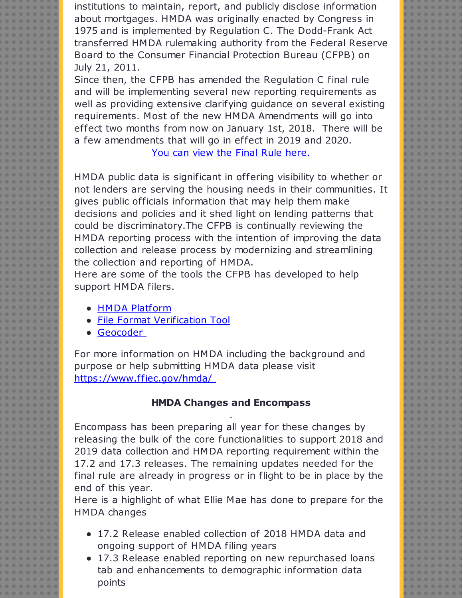institutions to maintain, report, and publicly disclose information about mortgages. HMDA was originally enacted by Congress in 1975 and is implemented by Regulation C. The Dodd-Frank Act transferred HMDA rulemaking authority from the Federal Reserve Board to the Consumer Financial Protection Bureau (CFPB) on July 21, 2011.

Since then, the CFPB has amended the Regulation C final rule and will be implementing several new reporting requirements as well as providing extensive clarifying guidance on several existing requirements. Most of the new HMDA Amendments will go into effect two months from now on January 1st, 2018. There will be a few amendments that will go in effect in 2019 and 2020.

You can view the Final Rule [here.](http://r20.rs6.net/tn.jsp?f=0013nka9lRR5TwBWHadTvpqdg0kauKb_cMn6NVw2Ebta7ixuOwkrTvIlWMbpHaeEuhHo3brxE1FZaz5-trZ0RjbW6m-prv5XFoB7DkokzcfE3c2PrfJd2rFAXxo5qfd79T8CWV_Z7_czCzKU8eulXNqyEh4a-Xd_HmiDEW4kArks77iDNIMkL_fZbzaxTBrQDIs2eK28SpHEI22fxbAKPFxzI0PcuSVNuHkYdy0rQUCIv7dmDmYL0ty7BiREIQF16TX9vnuP5HL7XAIQTAzwk_xMbRqlSnkw_A0fJWu9q31sGl8v18teXw0Ag==&c=&ch=)

HMDA public data is significant in offering visibility to whether or not lenders are serving the housing needs in their communities. It gives public officials information that may help them make decisions and policies and it shed light on lending patterns that could be discriminatory.The CFPB is continually reviewing the HMDA reporting process with the intention of improving the data collection and release process by modernizing and streamlining the collection and reporting of HMDA.

Here are some of the tools the CFPB has developed to help support HMDA filers.

- HMDA [Platform](http://r20.rs6.net/tn.jsp?f=0013nka9lRR5TwBWHadTvpqdg0kauKb_cMn6NVw2Ebta7ixuOwkrTvIlWMbpHaeEuhHL7ey5zmQaI3l4VHXGiTweinleGsnWcaOB7zDmpiOCdIBT3n7TcRSe5dn2mrqTlMVio-CjjCaX6v0uRJJSOhivjIe6qnkFTBuzdHnHq5WVWQkaTTnrFvWYzG7ghR-R_34kgEfSzVfmElHEzBS8I0TZu0IlJdy1Un02PtSWPmY_Iw=&c=&ch=)
- File Format [Verification](http://r20.rs6.net/tn.jsp?f=0013nka9lRR5TwBWHadTvpqdg0kauKb_cMn6NVw2Ebta7ixuOwkrTvIlWMbpHaeEuhHTMMryhtJyQSBKiSkyTvUsOwstElvsVVzj-x7TVRYaPx2AGOsilH1DsnscUYsI9fhSCGJiHwiFBEDw_CDPJ3gEe9mIx3m85Rf0JVWkN69UpNQLc8wBc4uszkFYDXBGbsu4x1nLrzcGFkhwNg40I_1jnqfu9WLS97pXOmXsVapfKI=&c=&ch=) Tool
- [Geocoder](http://r20.rs6.net/tn.jsp?f=0013nka9lRR5TwBWHadTvpqdg0kauKb_cMn6NVw2Ebta7ixuOwkrTvIlWMbpHaeEuhH5X0tciQF-xtCozTMNPzr2-qu_pj4IGhhFmI_jyMeeiKEig3q03IifH1yym55AIRJiQR2wuHsXyGVz2IKIE09KOWWXSxRcg-BrTLHwVkN2BeJx8MZa2rhYzovlg41XVf_dF3PY64vN_h1VwheoGJt_w==&c=&ch=)

For more information on HMDA including the background and purpose or help submitting HMDA data please visit [https://www.ffiec.gov/hmda/](http://r20.rs6.net/tn.jsp?f=0013nka9lRR5TwBWHadTvpqdg0kauKb_cMn6NVw2Ebta7ixuOwkrTvIlWMbpHaeEuhHjtr5tFzVRZxO8WyJur3hmXKKukvzApIsNAmE7SpoKHLvbL6BB3dYhrPNUIp-ryr8Tj0bYLFeRlsW4EWuPvq3XAH_yPlkmtnYiY7i5WTDR8_AWTf1q9jvYg==&c=&ch=)

## **HMDA Changes and Encompass** .

Encompass has been preparing all year for these changes by releasing the bulk of the core functionalities to support 2018 and 2019 data collection and HMDA reporting requirement within the 17.2 and 17.3 releases. The remaining updates needed for the final rule are already in progress or in flight to be in place by the end of this year.

Here is a highlight of what Ellie Mae has done to prepare for the HMDA changes

- 17.2 Release enabled collection of 2018 HMDA data and ongoing support of HMDA filing years
- 17.3 Release enabled reporting on new repurchased loans tab and enhancements to demographic information data points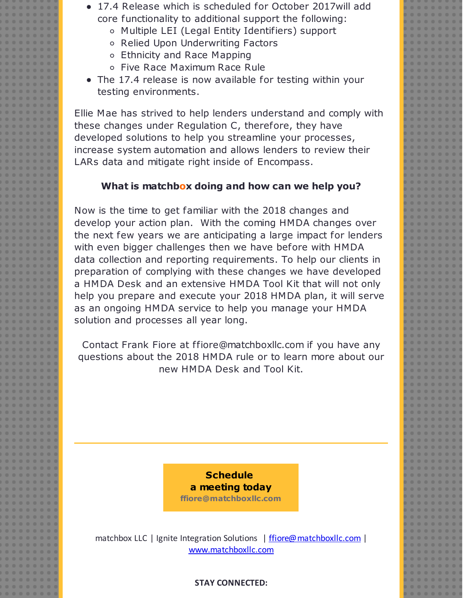- 17.4 Release which is scheduled for October 2017will add core functionality to additional support the following:
	- Multiple LEI (Legal Entity Identifiers) support
	- o Relied Upon Underwriting Factors
	- Ethnicity and Race Mapping
	- Five Race Maximum Race Rule
- The 17.4 release is now available for testing within your testing environments.

Ellie Mae has strived to help lenders understand and comply with these changes under Regulation C, therefore, they have developed solutions to help you streamline your processes, increase system automation and allows lenders to review their LARs data and mitigate right inside of Encompass.

## **What is matchbox doing and how can we help you?**

Now is the time to get familiar with the 2018 changes and develop your action plan. With the coming HMDA changes over the next few years we are anticipating a large impact for lenders with even bigger challenges then we have before with HMDA data collection and reporting requirements. To help our clients in preparation of complying with these changes we have developed a HMDA Desk and an extensive HMDA Tool Kit that will not only help you prepare and execute your 2018 HMDA plan, it will serve as an ongoing HMDA service to help you manage your HMDA solution and processes all year long.

Contact Frank Fiore at ffiore@matchboxllc.com if you have any questions about the 2018 HMDA rule or to learn more about our new HMDA Desk and Tool Kit.



matchbox LLC | Ignite Integration Solutions | friore@matchboxllc.com | [www.matchboxllc.com](http://r20.rs6.net/tn.jsp?f=0013nka9lRR5TwBWHadTvpqdg0kauKb_cMn6NVw2Ebta7ixuOwkrTvIlRNDssECUNPbUOfgW2IEA6vSuIDv0gO-iKYEBsDeuI6bcKrjNm76NcUXc9hERMh5XAzjoSsLSBpRnFe3enw2ej3zE9OhNLGO0a6A0RrhCmEzEGTict1UQik=&c=&ch=)

### **STAY CONNECTED:**